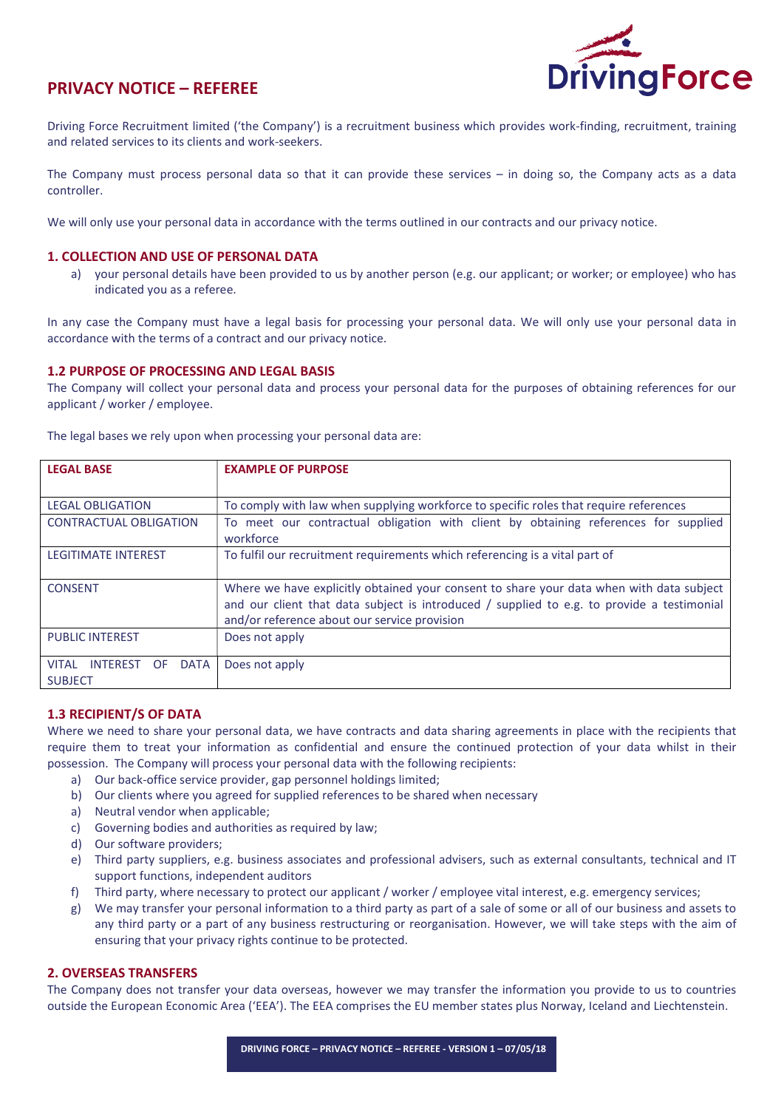

# PRIVACY NOTICE – REFEREE

Driving Force Recruitment limited ('the Company') is a recruitment business which provides work-finding, recruitment, training and related services to its clients and work-seekers.

The Company must process personal data so that it can provide these services – in doing so, the Company acts as a data controller.

We will only use your personal data in accordance with the terms outlined in our contracts and our privacy notice.

### 1. COLLECTION AND USE OF PERSONAL DATA

a) your personal details have been provided to us by another person (e.g. our applicant; or worker; or employee) who has indicated you as a referee.

In any case the Company must have a legal basis for processing your personal data. We will only use your personal data in accordance with the terms of a contract and our privacy notice.

## 1.2 PURPOSE OF PROCESSING AND LEGAL BASIS

The Company will collect your personal data and process your personal data for the purposes of obtaining references for our applicant / worker / employee.

| <b>LEGAL BASE</b>                                                       | <b>EXAMPLE OF PURPOSE</b>                                                                                                                                                                                                              |
|-------------------------------------------------------------------------|----------------------------------------------------------------------------------------------------------------------------------------------------------------------------------------------------------------------------------------|
| <b>LEGAL OBLIGATION</b>                                                 | To comply with law when supplying workforce to specific roles that require references                                                                                                                                                  |
| <b>CONTRACTUAL OBLIGATION</b>                                           | To meet our contractual obligation with client by obtaining references for supplied<br>workforce                                                                                                                                       |
| <b>LEGITIMATE INTEREST</b>                                              | To fulfil our recruitment requirements which referencing is a vital part of                                                                                                                                                            |
| <b>CONSENT</b>                                                          | Where we have explicitly obtained your consent to share your data when with data subject<br>and our client that data subject is introduced / supplied to e.g. to provide a testimonial<br>and/or reference about our service provision |
| <b>PUBLIC INTEREST</b>                                                  | Does not apply                                                                                                                                                                                                                         |
| <b>VITAL</b><br><b>INTEREST</b><br><b>DATA</b><br>OF.<br><b>SUBJECT</b> | Does not apply                                                                                                                                                                                                                         |

The legal bases we rely upon when processing your personal data are:

## 1.3 RECIPIENT/S OF DATA

Where we need to share your personal data, we have contracts and data sharing agreements in place with the recipients that require them to treat your information as confidential and ensure the continued protection of your data whilst in their possession. The Company will process your personal data with the following recipients:

- a) Our back-office service provider, gap personnel holdings limited;
- b) Our clients where you agreed for supplied references to be shared when necessary
- a) Neutral vendor when applicable;
- c) Governing bodies and authorities as required by law;
- d) Our software providers;
- e) Third party suppliers, e.g. business associates and professional advisers, such as external consultants, technical and IT support functions, independent auditors
- f) Third party, where necessary to protect our applicant / worker / employee vital interest, e.g. emergency services;
- g) We may transfer your personal information to a third party as part of a sale of some or all of our business and assets to any third party or a part of any business restructuring or reorganisation. However, we will take steps with the aim of ensuring that your privacy rights continue to be protected.

## 2. OVERSEAS TRANSFERS

The Company does not transfer your data overseas, however we may transfer the information you provide to us to countries outside the European Economic Area ('EEA'). The EEA comprises the EU member states plus Norway, Iceland and Liechtenstein.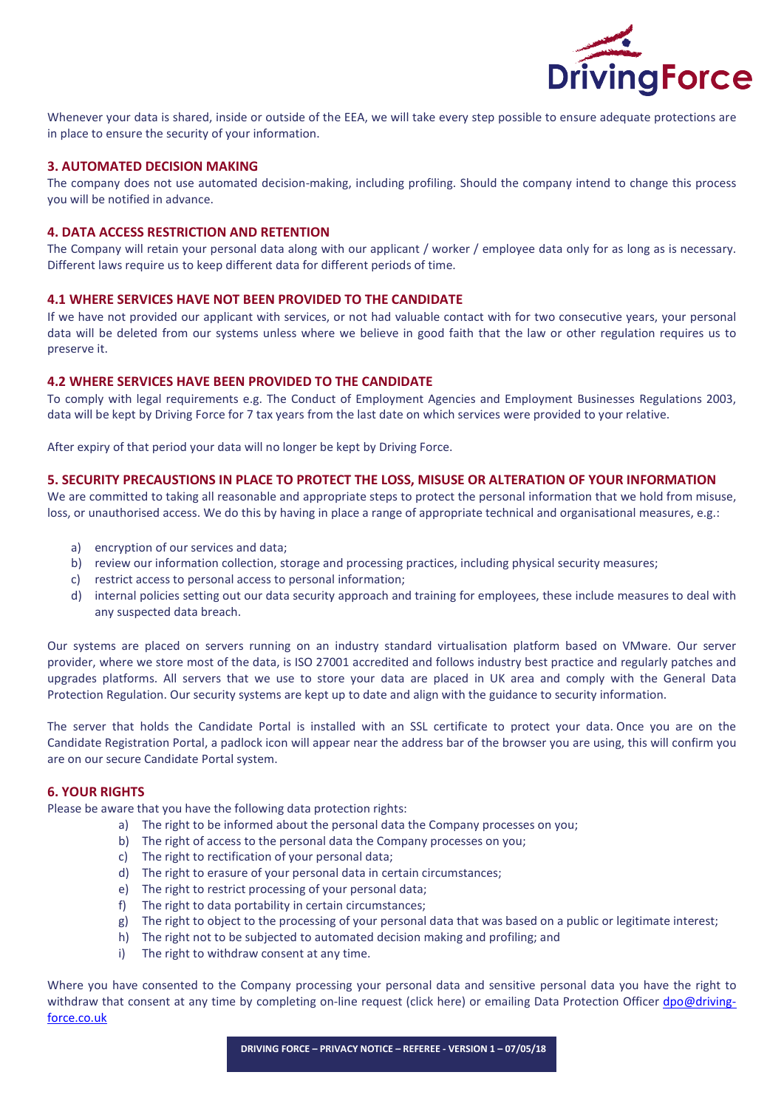

Whenever your data is shared, inside or outside of the EEA, we will take every step possible to ensure adequate protections are in place to ensure the security of your information.

### 3. AUTOMATED DECISION MAKING

The company does not use automated decision-making, including profiling. Should the company intend to change this process you will be notified in advance.

### 4. DATA ACCESS RESTRICTION AND RETENTION

The Company will retain your personal data along with our applicant / worker / employee data only for as long as is necessary. Different laws require us to keep different data for different periods of time.

#### 4.1 WHERE SERVICES HAVE NOT BEEN PROVIDED TO THE CANDIDATE

If we have not provided our applicant with services, or not had valuable contact with for two consecutive years, your personal data will be deleted from our systems unless where we believe in good faith that the law or other regulation requires us to preserve it.

#### 4.2 WHERE SERVICES HAVE BEEN PROVIDED TO THE CANDIDATE

To comply with legal requirements e.g. The Conduct of Employment Agencies and Employment Businesses Regulations 2003, data will be kept by Driving Force for 7 tax years from the last date on which services were provided to your relative.

After expiry of that period your data will no longer be kept by Driving Force.

#### 5. SECURITY PRECAUSTIONS IN PLACE TO PROTECT THE LOSS, MISUSE OR ALTERATION OF YOUR INFORMATION

We are committed to taking all reasonable and appropriate steps to protect the personal information that we hold from misuse, loss, or unauthorised access. We do this by having in place a range of appropriate technical and organisational measures, e.g.:

- a) encryption of our services and data;
- b) review our information collection, storage and processing practices, including physical security measures;
- c) restrict access to personal access to personal information;
- d) internal policies setting out our data security approach and training for employees, these include measures to deal with any suspected data breach.

Our systems are placed on servers running on an industry standard virtualisation platform based on VMware. Our server provider, where we store most of the data, is ISO 27001 accredited and follows industry best practice and regularly patches and upgrades platforms. All servers that we use to store your data are placed in UK area and comply with the General Data Protection Regulation. Our security systems are kept up to date and align with the guidance to security information.

The server that holds the Candidate Portal is installed with an SSL certificate to protect your data. Once you are on the Candidate Registration Portal, a padlock icon will appear near the address bar of the browser you are using, this will confirm you are on our secure Candidate Portal system.

## 6. YOUR RIGHTS

Please be aware that you have the following data protection rights:

- a) The right to be informed about the personal data the Company processes on you;
- b) The right of access to the personal data the Company processes on you;
- c) The right to rectification of your personal data;
- d) The right to erasure of your personal data in certain circumstances;
- e) The right to restrict processing of your personal data;
- f) The right to data portability in certain circumstances;
- g) The right to object to the processing of your personal data that was based on a public or legitimate interest;
- h) The right not to be subjected to automated decision making and profiling; and
- i) The right to withdraw consent at any time.

Where you have consented to the Company processing your personal data and sensitive personal data you have the right to withdraw that consent at any time by completing on-line request (click here) or emailing Data Protection Officer dpo@drivingforce.co.uk

DRIVING FORCE – PRIVACY NOTICE – REFEREE - VERSION 1 – 07/05/18